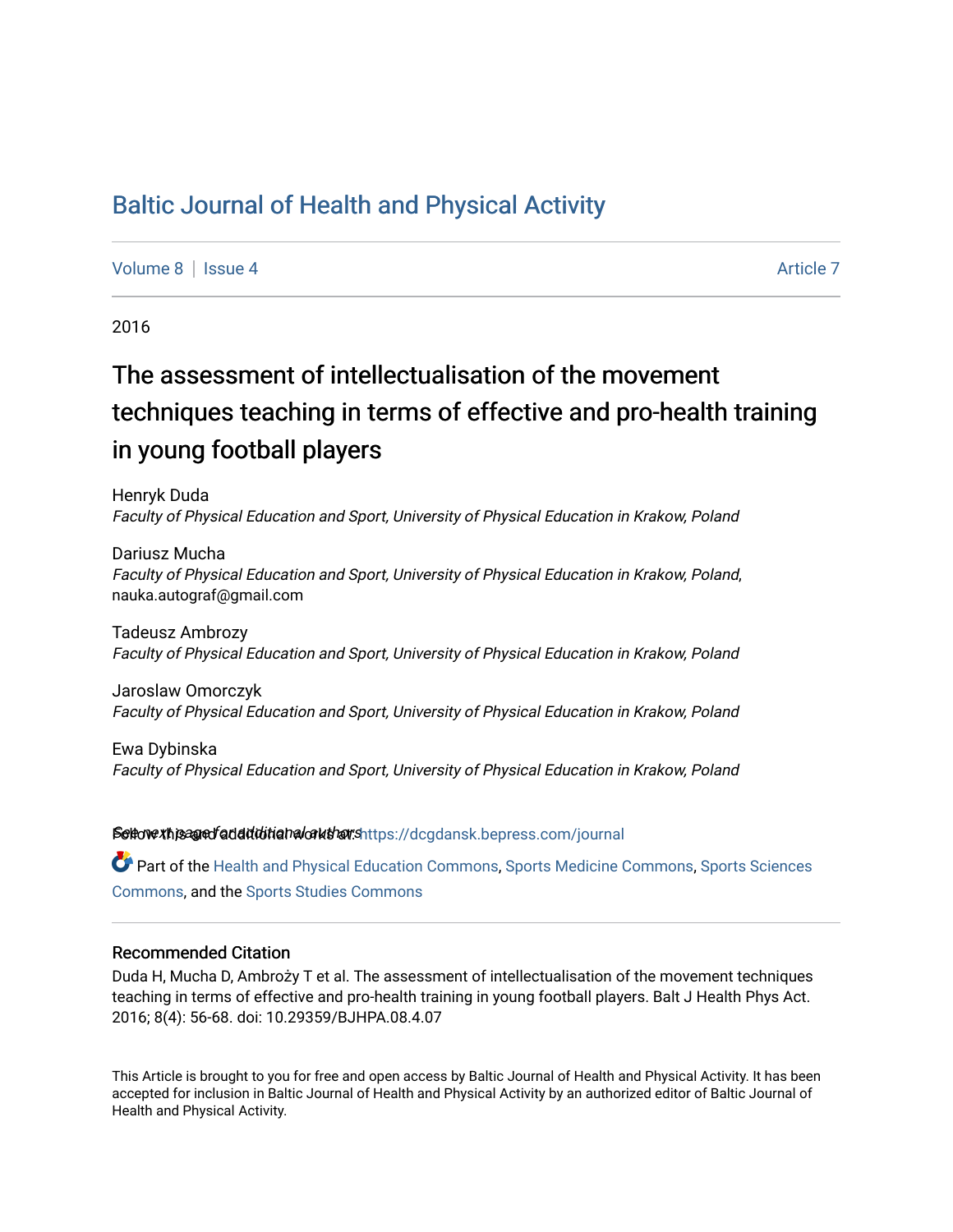# [Baltic Journal of Health and Physical Activity](https://dcgdansk.bepress.com/journal)

[Volume 8](https://dcgdansk.bepress.com/journal/vol8) | [Issue 4](https://dcgdansk.bepress.com/journal/vol8/iss4) Article 7

2016

# The assessment of intellectualisation of the movement techniques teaching in terms of effective and pro-health training in young football players

Henryk Duda Faculty of Physical Education and Sport, University of Physical Education in Krakow, Poland

Dariusz Mucha Faculty of Physical Education and Sport, University of Physical Education in Krakow, Poland, nauka.autograf@gmail.com

Tadeusz Ambrozy Faculty of Physical Education and Sport, University of Physical Education in Krakow, Poland

Jaroslaw Omorczyk Faculty of Physical Education and Sport, University of Physical Education in Krakow, Poland

Ewa Dybinska Faculty of Physical Education and Sport, University of Physical Education in Krakow, Poland

Settovexthis age of addiditional authors[https://dcgdansk.bepress.com/journal](https://dcgdansk.bepress.com/journal?utm_source=dcgdansk.bepress.com%2Fjournal%2Fvol8%2Fiss4%2F7&utm_medium=PDF&utm_campaign=PDFCoverPages)

Part of the [Health and Physical Education Commons](http://network.bepress.com/hgg/discipline/1327?utm_source=dcgdansk.bepress.com%2Fjournal%2Fvol8%2Fiss4%2F7&utm_medium=PDF&utm_campaign=PDFCoverPages), [Sports Medicine Commons,](http://network.bepress.com/hgg/discipline/1331?utm_source=dcgdansk.bepress.com%2Fjournal%2Fvol8%2Fiss4%2F7&utm_medium=PDF&utm_campaign=PDFCoverPages) [Sports Sciences](http://network.bepress.com/hgg/discipline/759?utm_source=dcgdansk.bepress.com%2Fjournal%2Fvol8%2Fiss4%2F7&utm_medium=PDF&utm_campaign=PDFCoverPages) [Commons](http://network.bepress.com/hgg/discipline/759?utm_source=dcgdansk.bepress.com%2Fjournal%2Fvol8%2Fiss4%2F7&utm_medium=PDF&utm_campaign=PDFCoverPages), and the [Sports Studies Commons](http://network.bepress.com/hgg/discipline/1198?utm_source=dcgdansk.bepress.com%2Fjournal%2Fvol8%2Fiss4%2F7&utm_medium=PDF&utm_campaign=PDFCoverPages) 

#### Recommended Citation

Duda H, Mucha D, Ambroży T et al. The assessment of intellectualisation of the movement techniques teaching in terms of effective and pro-health training in young football players. Balt J Health Phys Act. 2016; 8(4): 56-68. doi: 10.29359/BJHPA.08.4.07

This Article is brought to you for free and open access by Baltic Journal of Health and Physical Activity. It has been accepted for inclusion in Baltic Journal of Health and Physical Activity by an authorized editor of Baltic Journal of Health and Physical Activity.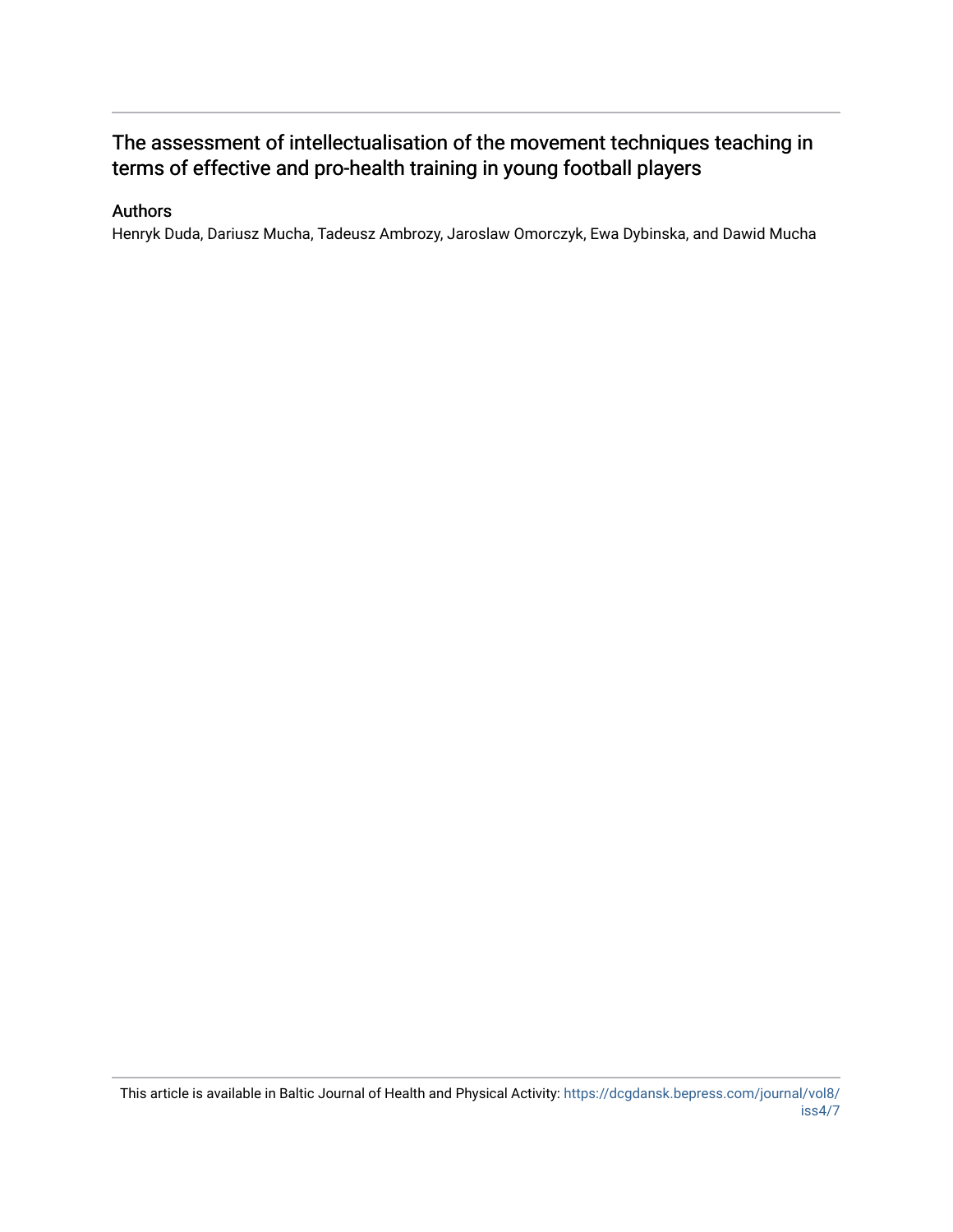# The assessment of intellectualisation of the movement techniques teaching in terms of effective and pro-health training in young football players

#### Authors

Henryk Duda, Dariusz Mucha, Tadeusz Ambrozy, Jaroslaw Omorczyk, Ewa Dybinska, and Dawid Mucha

This article is available in Baltic Journal of Health and Physical Activity: [https://dcgdansk.bepress.com/journal/vol8/](https://dcgdansk.bepress.com/journal/vol8/iss4/7) [iss4/7](https://dcgdansk.bepress.com/journal/vol8/iss4/7)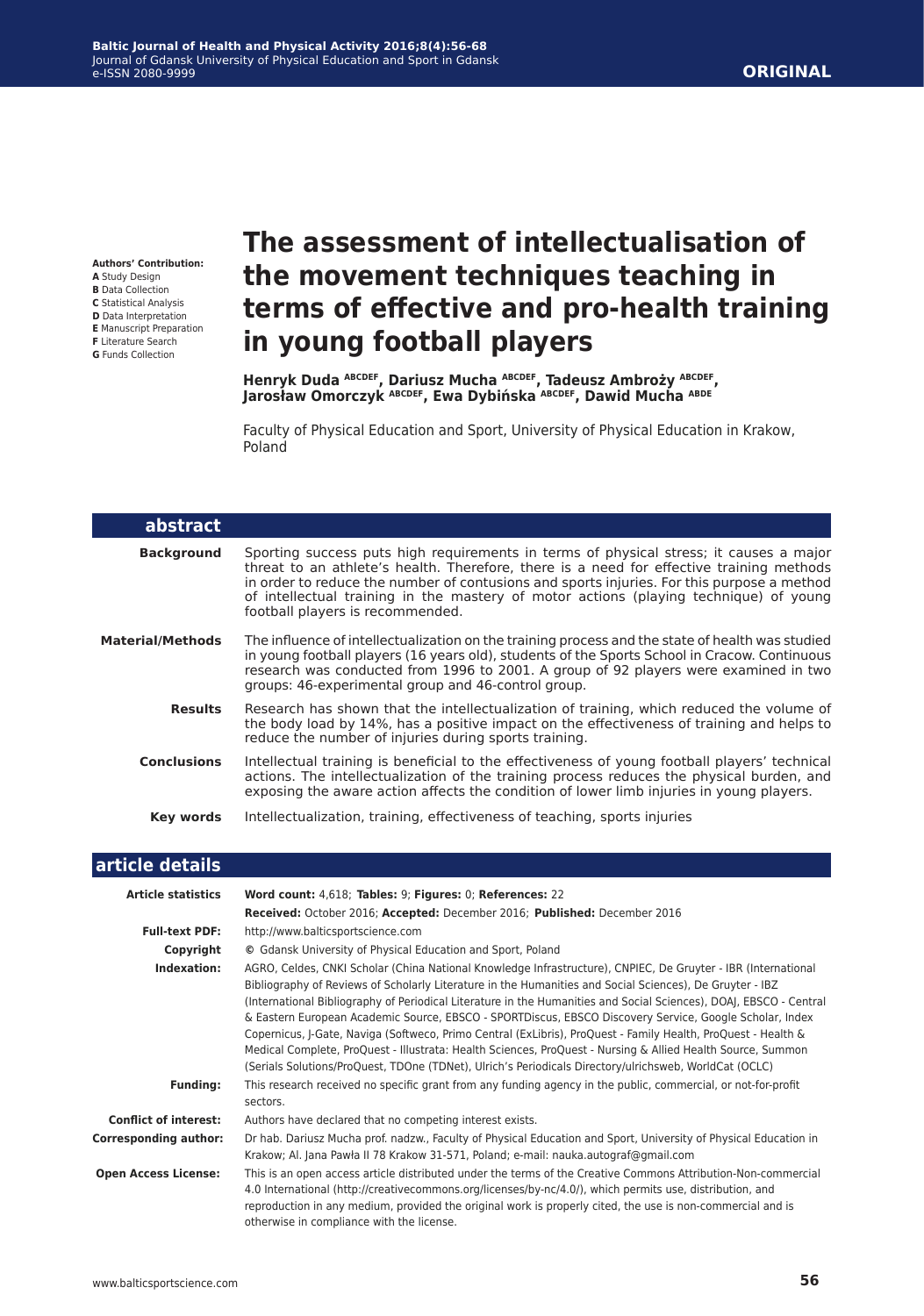**Authors' Contribution:**

- **A** Study Design
- **B** Data Collection
- **C** Statistical Analysis
- **D** Data Interpretation
- **E** Manuscript Preparation
- **F** Literature Search **G** Funds Collection

# **the movement techniques teaching in terms of effective and pro-health training in young football players**

**The assessment of intellectualisation of** 

**Henryk Duda ABCDEF, Dariusz Mucha ABCDEF, Tadeusz Ambroży ABCDEF, Jarosław Omorczyk ABCDEF, Ewa Dybińska ABCDEF, Dawid Mucha ABDE**

Faculty of Physical Education and Sport, University of Physical Education in Krakow, Poland

| abstract                |                                                                                                                                                                                                                                                                                                                                                                                                               |
|-------------------------|---------------------------------------------------------------------------------------------------------------------------------------------------------------------------------------------------------------------------------------------------------------------------------------------------------------------------------------------------------------------------------------------------------------|
| <b>Background</b>       | Sporting success puts high requirements in terms of physical stress; it causes a major<br>threat to an athlete's health. Therefore, there is a need for effective training methods<br>in order to reduce the number of contusions and sports injuries. For this purpose a method<br>of intellectual training in the mastery of motor actions (playing technique) of young<br>football players is recommended. |
| <b>Material/Methods</b> | The influence of intellectualization on the training process and the state of health was studied<br>in young football players (16 years old), students of the Sports School in Cracow. Continuous<br>research was conducted from 1996 to 2001. A group of 92 players were examined in two<br>groups: 46-experimental group and 46-control group.                                                              |
| <b>Results</b>          | Research has shown that the intellectualization of training, which reduced the volume of<br>the body load by 14%, has a positive impact on the effectiveness of training and helps to<br>reduce the number of injuries during sports training.                                                                                                                                                                |
| <b>Conclusions</b>      | Intellectual training is beneficial to the effectiveness of young football players' technical<br>actions. The intellectualization of the training process reduces the physical burden, and<br>exposing the aware action affects the condition of lower limb injuries in young players.                                                                                                                        |
| Key words               | Intellectualization, training, effectiveness of teaching, sports injuries                                                                                                                                                                                                                                                                                                                                     |
|                         |                                                                                                                                                                                                                                                                                                                                                                                                               |

#### **article details**

| <b>Article statistics</b>    | Word count: 4,618; Tables: 9; Figures: 0; References: 22                                                                                                                                                                                                                                                                                                                                                                                                                                                                                                                                                                                                                                                                                                                                             |
|------------------------------|------------------------------------------------------------------------------------------------------------------------------------------------------------------------------------------------------------------------------------------------------------------------------------------------------------------------------------------------------------------------------------------------------------------------------------------------------------------------------------------------------------------------------------------------------------------------------------------------------------------------------------------------------------------------------------------------------------------------------------------------------------------------------------------------------|
|                              | Received: October 2016; Accepted: December 2016; Published: December 2016                                                                                                                                                                                                                                                                                                                                                                                                                                                                                                                                                                                                                                                                                                                            |
| <b>Full-text PDF:</b>        | http://www.balticsportscience.com                                                                                                                                                                                                                                                                                                                                                                                                                                                                                                                                                                                                                                                                                                                                                                    |
| Copyright                    | © Gdansk University of Physical Education and Sport, Poland                                                                                                                                                                                                                                                                                                                                                                                                                                                                                                                                                                                                                                                                                                                                          |
| Indexation:                  | AGRO, Celdes, CNKI Scholar (China National Knowledge Infrastructure), CNPIEC, De Gruyter - IBR (International<br>Bibliography of Reviews of Scholarly Literature in the Humanities and Social Sciences), De Gruyter - IBZ<br>(International Bibliography of Periodical Literature in the Humanities and Social Sciences), DOAJ, EBSCO - Central<br>& Eastern European Academic Source, EBSCO - SPORTDiscus, EBSCO Discovery Service, Google Scholar, Index<br>Copernicus, J-Gate, Naviga (Softweco, Primo Central (ExLibris), ProQuest - Family Health, ProQuest - Health &<br>Medical Complete, ProQuest - Illustrata: Health Sciences, ProQuest - Nursing & Allied Health Source, Summon<br>(Serials Solutions/ProQuest, TDOne (TDNet), Ulrich's Periodicals Directory/ulrichsweb, WorldCat (OCLC) |
| <b>Funding:</b>              | This research received no specific grant from any funding agency in the public, commercial, or not-for-profit<br>sectors.                                                                                                                                                                                                                                                                                                                                                                                                                                                                                                                                                                                                                                                                            |
| <b>Conflict of interest:</b> | Authors have declared that no competing interest exists.                                                                                                                                                                                                                                                                                                                                                                                                                                                                                                                                                                                                                                                                                                                                             |
| <b>Corresponding author:</b> | Dr hab. Dariusz Mucha prof. nadzw., Faculty of Physical Education and Sport, University of Physical Education in<br>Krakow; Al. Jana Pawła II 78 Krakow 31-571, Poland; e-mail: nauka.autograf@gmail.com                                                                                                                                                                                                                                                                                                                                                                                                                                                                                                                                                                                             |
| <b>Open Access License:</b>  | This is an open access article distributed under the terms of the Creative Commons Attribution-Non-commercial<br>4.0 International (http://creativecommons.org/licenses/by-nc/4.0/), which permits use, distribution, and<br>reproduction in any medium, provided the original work is properly cited, the use is non-commercial and is<br>otherwise in compliance with the license.                                                                                                                                                                                                                                                                                                                                                                                                                 |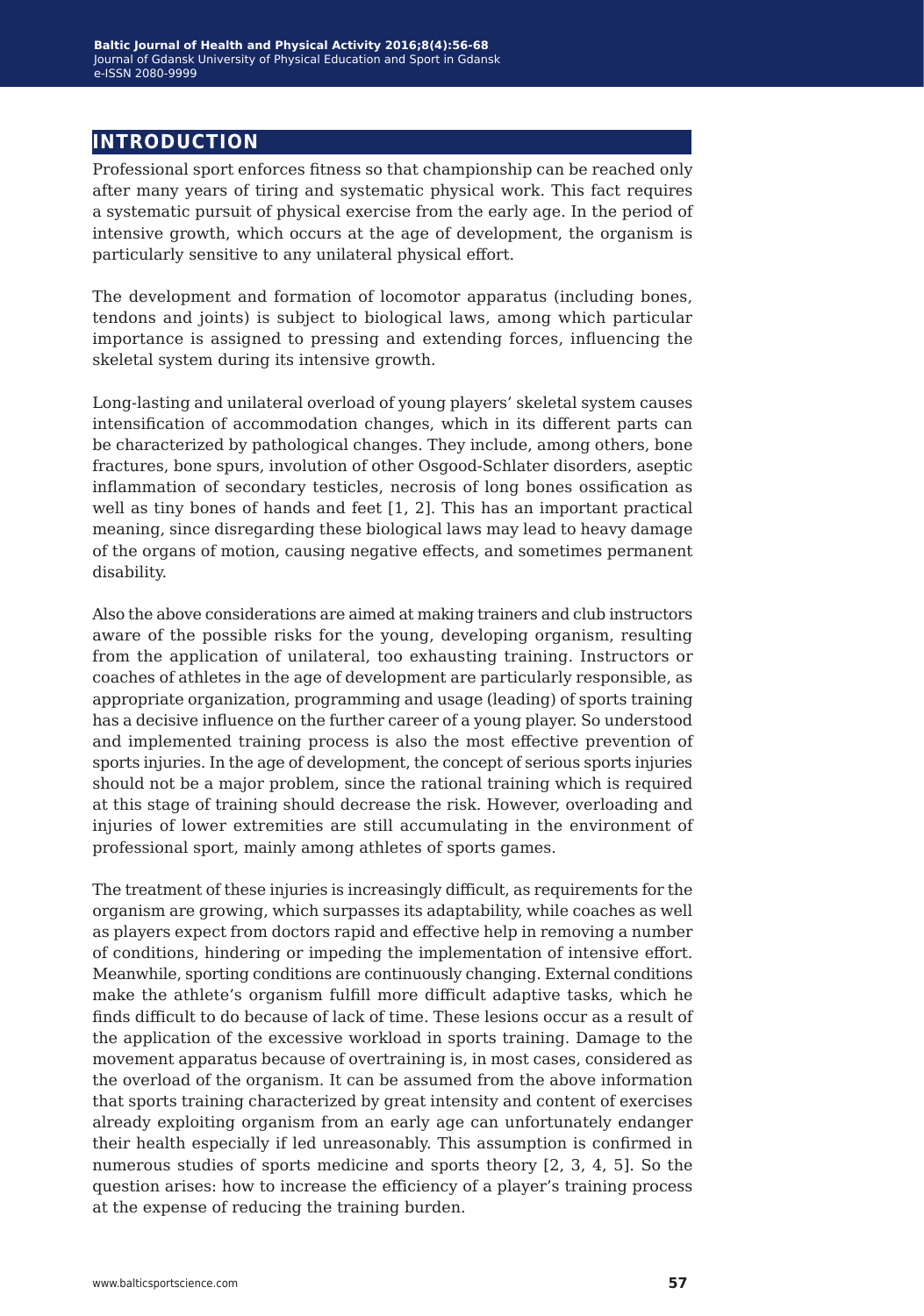## **introduction**

Professional sport enforces fitness so that championship can be reached only after many years of tiring and systematic physical work. This fact requires a systematic pursuit of physical exercise from the early age. In the period of intensive growth, which occurs at the age of development, the organism is particularly sensitive to any unilateral physical effort.

The development and formation of locomotor apparatus (including bones, tendons and joints) is subject to biological laws, among which particular importance is assigned to pressing and extending forces, influencing the skeletal system during its intensive growth.

Long-lasting and unilateral overload of young players' skeletal system causes intensification of accommodation changes, which in its different parts can be characterized by pathological changes. They include, among others, bone fractures, bone spurs, involution of other Osgood-Schlater disorders, aseptic inflammation of secondary testicles, necrosis of long bones ossification as well as tiny bones of hands and feet [1, 2]. This has an important practical meaning, since disregarding these biological laws may lead to heavy damage of the organs of motion, causing negative effects, and sometimes permanent disability.

Also the above considerations are aimed at making trainers and club instructors aware of the possible risks for the young, developing organism, resulting from the application of unilateral, too exhausting training. Instructors or coaches of athletes in the age of development are particularly responsible, as appropriate organization, programming and usage (leading) of sports training has a decisive influence on the further career of a young player. So understood and implemented training process is also the most effective prevention of sports injuries. In the age of development, the concept of serious sports injuries should not be a major problem, since the rational training which is required at this stage of training should decrease the risk. However, overloading and injuries of lower extremities are still accumulating in the environment of professional sport, mainly among athletes of sports games.

The treatment of these injuries is increasingly difficult, as requirements for the organism are growing, which surpasses its adaptability, while coaches as well as players expect from doctors rapid and effective help in removing a number of conditions, hindering or impeding the implementation of intensive effort. Meanwhile, sporting conditions are continuously changing. External conditions make the athlete's organism fulfill more difficult adaptive tasks, which he finds difficult to do because of lack of time. These lesions occur as a result of the application of the excessive workload in sports training. Damage to the movement apparatus because of overtraining is, in most cases, considered as the overload of the organism. It can be assumed from the above information that sports training characterized by great intensity and content of exercises already exploiting organism from an early age can unfortunately endanger their health especially if led unreasonably. This assumption is confirmed in numerous studies of sports medicine and sports theory [2, 3, 4, 5]. So the question arises: how to increase the efficiency of a player's training process at the expense of reducing the training burden.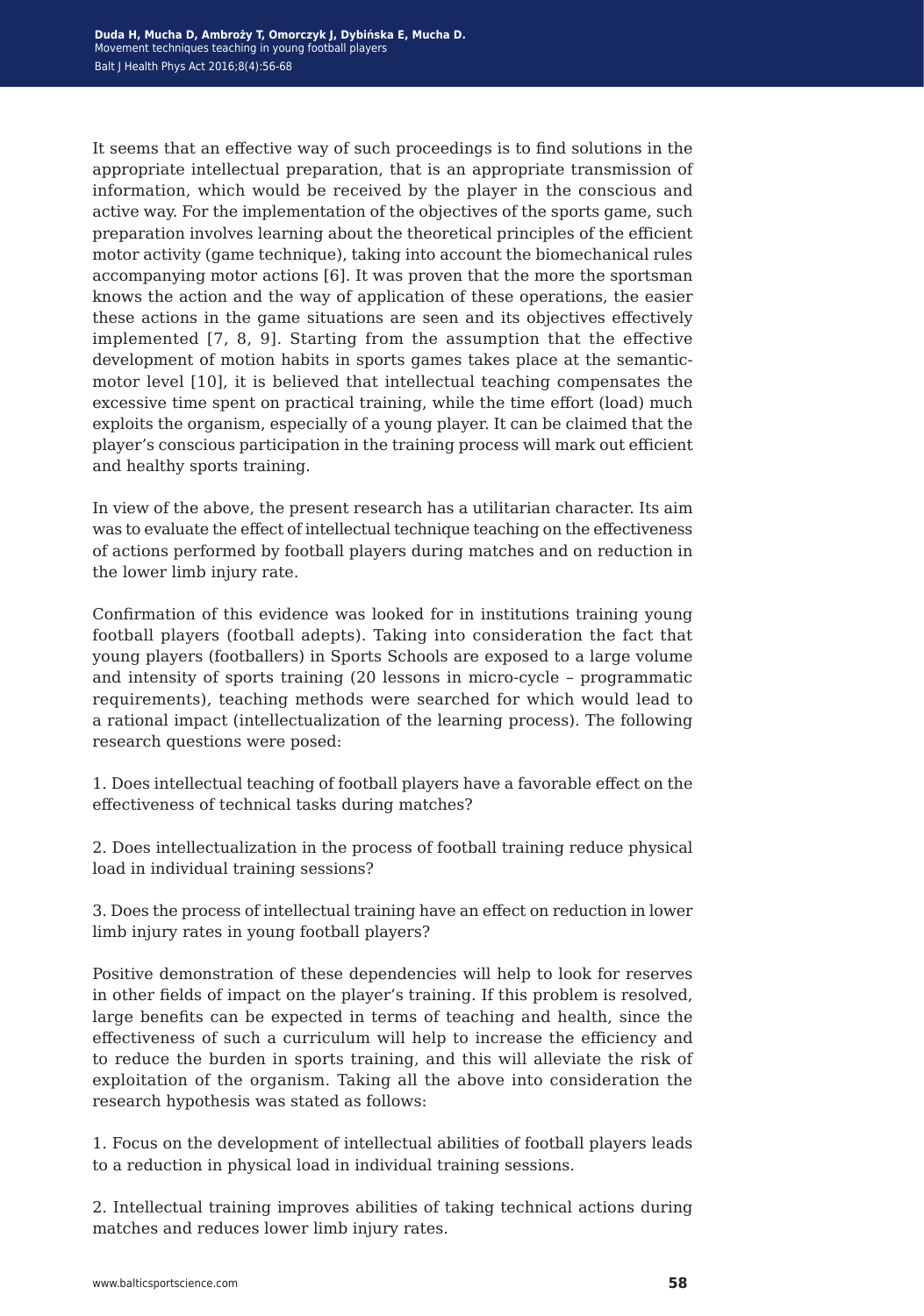It seems that an effective way of such proceedings is to find solutions in the appropriate intellectual preparation, that is an appropriate transmission of information, which would be received by the player in the conscious and active way. For the implementation of the objectives of the sports game, such preparation involves learning about the theoretical principles of the efficient motor activity (game technique), taking into account the biomechanical rules accompanying motor actions [6]. It was proven that the more the sportsman knows the action and the way of application of these operations, the easier these actions in the game situations are seen and its objectives effectively implemented [7, 8, 9]. Starting from the assumption that the effective development of motion habits in sports games takes place at the semanticmotor level [10], it is believed that intellectual teaching compensates the excessive time spent on practical training, while the time effort (load) much exploits the organism, especially of a young player. It can be claimed that the player's conscious participation in the training process will mark out efficient and healthy sports training.

In view of the above, the present research has a utilitarian character. Its aim was to evaluate the effect of intellectual technique teaching on the effectiveness of actions performed by football players during matches and on reduction in the lower limb injury rate.

Confirmation of this evidence was looked for in institutions training young football players (football adepts). Taking into consideration the fact that young players (footballers) in Sports Schools are exposed to a large volume and intensity of sports training (20 lessons in micro-cycle – programmatic requirements), teaching methods were searched for which would lead to a rational impact (intellectualization of the learning process). The following research questions were posed:

1. Does intellectual teaching of football players have a favorable effect on the effectiveness of technical tasks during matches?

2. Does intellectualization in the process of football training reduce physical load in individual training sessions?

3. Does the process of intellectual training have an effect on reduction in lower limb injury rates in young football players?

Positive demonstration of these dependencies will help to look for reserves in other fields of impact on the player's training. If this problem is resolved, large benefits can be expected in terms of teaching and health, since the effectiveness of such a curriculum will help to increase the efficiency and to reduce the burden in sports training, and this will alleviate the risk of exploitation of the organism. Taking all the above into consideration the research hypothesis was stated as follows:

1. Focus on the development of intellectual abilities of football players leads to a reduction in physical load in individual training sessions.

2. Intellectual training improves abilities of taking technical actions during matches and reduces lower limb injury rates.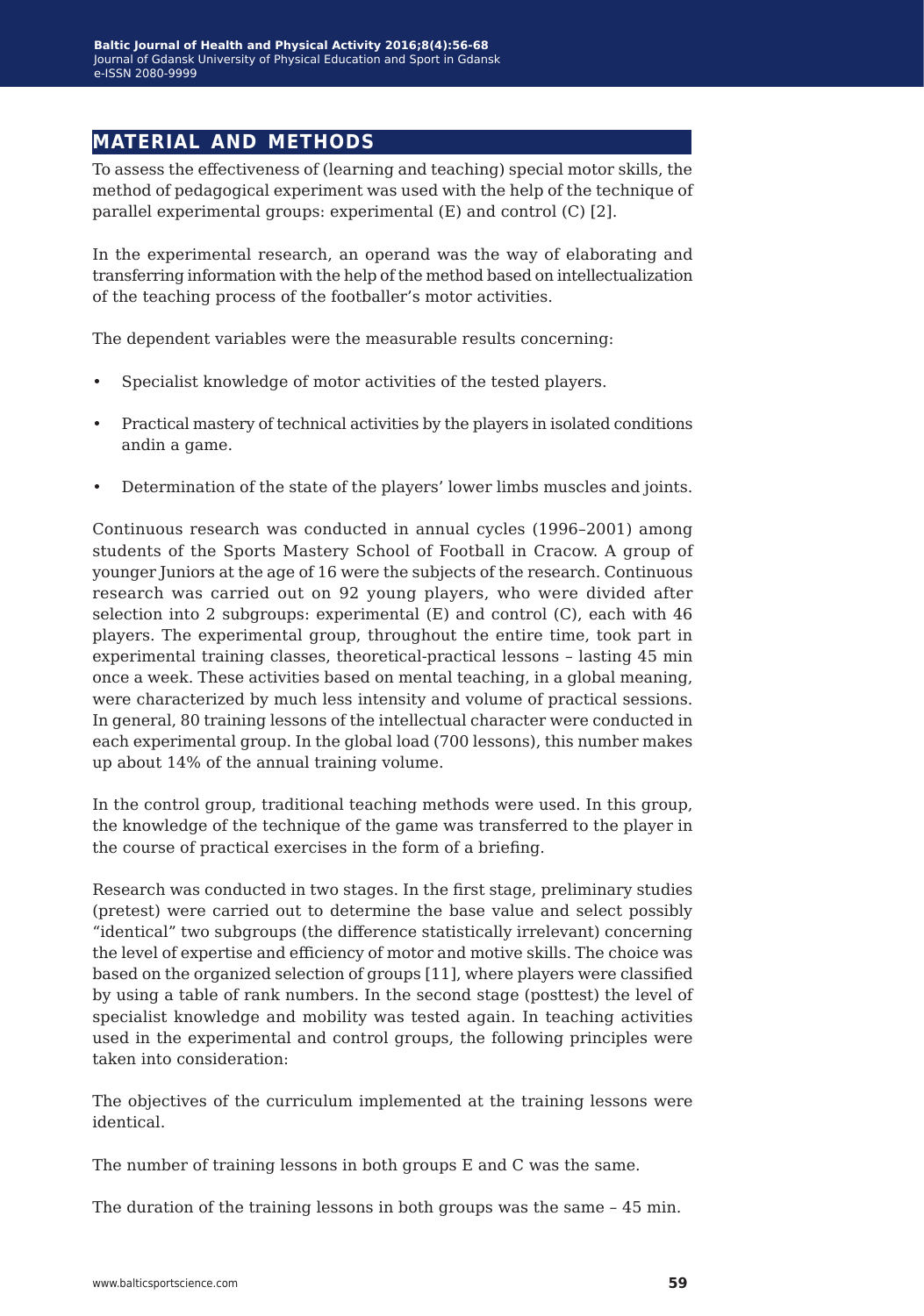### **material and methods**

To assess the effectiveness of (learning and teaching) special motor skills, the method of pedagogical experiment was used with the help of the technique of parallel experimental groups: experimental (E) and control (C) [2].

In the experimental research, an operand was the way of elaborating and transferring information with the help of the method based on intellectualization of the teaching process of the footballer's motor activities.

The dependent variables were the measurable results concerning:

- Specialist knowledge of motor activities of the tested players.
- Practical mastery of technical activities by the players in isolated conditions andin a game.
- Determination of the state of the players' lower limbs muscles and joints.

Continuous research was conducted in annual cycles (1996–2001) among students of the Sports Mastery School of Football in Cracow. A group of younger Juniors at the age of 16 were the subjects of the research. Continuous research was carried out on 92 young players, who were divided after selection into 2 subgroups: experimental (E) and control (C), each with 46 players. The experimental group, throughout the entire time, took part in experimental training classes, theoretical-practical lessons – lasting 45 min once a week. These activities based on mental teaching, in a global meaning, were characterized by much less intensity and volume of practical sessions. In general, 80 training lessons of the intellectual character were conducted in each experimental group. In the global load (700 lessons), this number makes up about 14% of the annual training volume.

In the control group, traditional teaching methods were used. In this group, the knowledge of the technique of the game was transferred to the player in the course of practical exercises in the form of a briefing.

Research was conducted in two stages. In the first stage, preliminary studies (pretest) were carried out to determine the base value and select possibly "identical" two subgroups (the difference statistically irrelevant) concerning the level of expertise and efficiency of motor and motive skills. The choice was based on the organized selection of groups [11], where players were classified by using a table of rank numbers. In the second stage (posttest) the level of specialist knowledge and mobility was tested again. In teaching activities used in the experimental and control groups, the following principles were taken into consideration:

The objectives of the curriculum implemented at the training lessons were identical.

The number of training lessons in both groups E and C was the same.

The duration of the training lessons in both groups was the same – 45 min.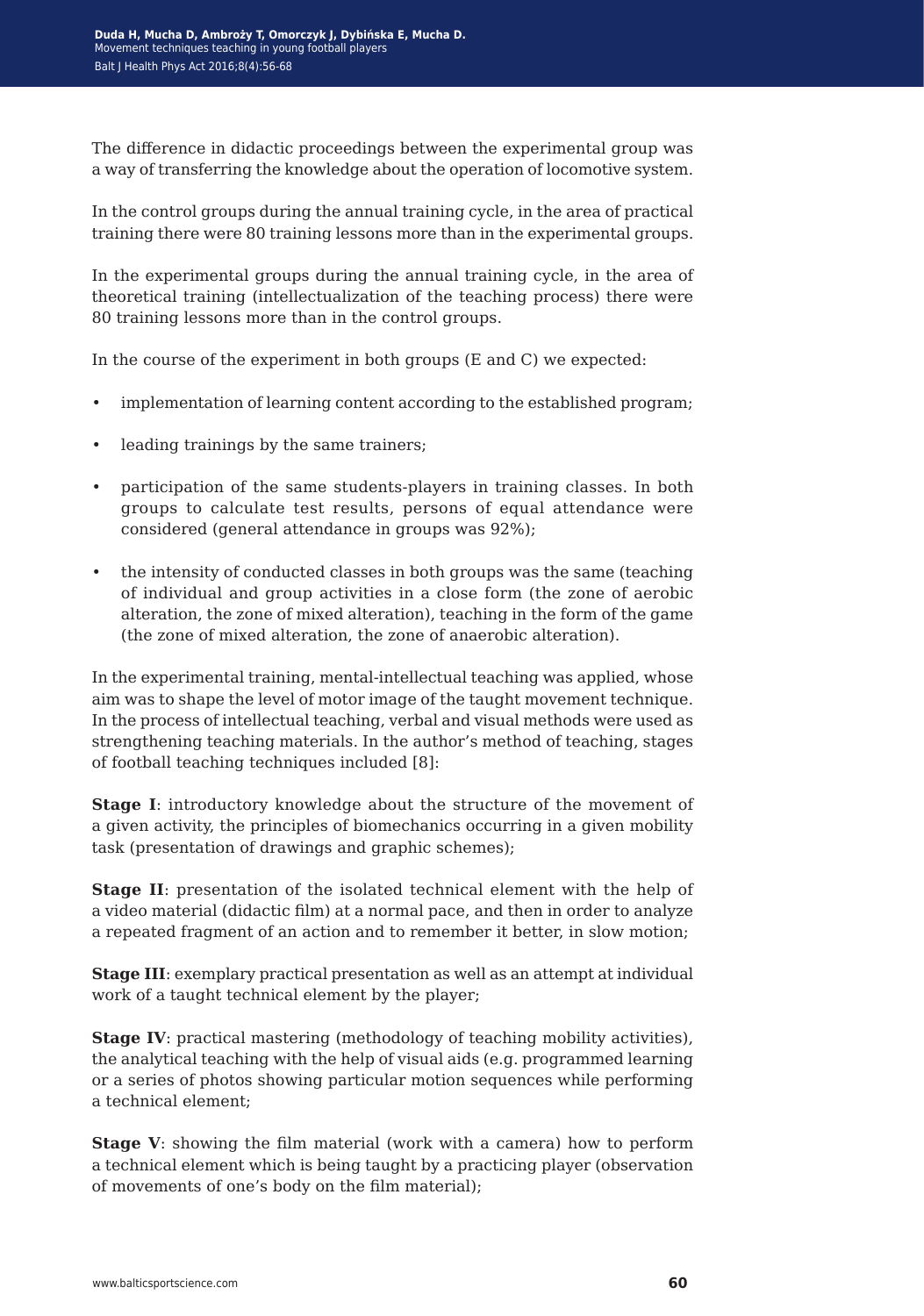The difference in didactic proceedings between the experimental group was a way of transferring the knowledge about the operation of locomotive system.

In the control groups during the annual training cycle, in the area of practical training there were 80 training lessons more than in the experimental groups.

In the experimental groups during the annual training cycle, in the area of theoretical training (intellectualization of the teaching process) there were 80 training lessons more than in the control groups.

In the course of the experiment in both groups (E and C) we expected:

- implementation of learning content according to the established program;
- leading trainings by the same trainers;
- participation of the same students-players in training classes. In both groups to calculate test results, persons of equal attendance were considered (general attendance in groups was 92%);
- the intensity of conducted classes in both groups was the same (teaching of individual and group activities in a close form (the zone of aerobic alteration, the zone of mixed alteration), teaching in the form of the game (the zone of mixed alteration, the zone of anaerobic alteration).

In the experimental training, mental-intellectual teaching was applied, whose aim was to shape the level of motor image of the taught movement technique. In the process of intellectual teaching, verbal and visual methods were used as strengthening teaching materials. In the author's method of teaching, stages of football teaching techniques included [8]:

**Stage I**: introductory knowledge about the structure of the movement of a given activity, the principles of biomechanics occurring in a given mobility task (presentation of drawings and graphic schemes);

**Stage II**: presentation of the isolated technical element with the help of a video material (didactic film) at a normal pace, and then in order to analyze a repeated fragment of an action and to remember it better, in slow motion;

**Stage III**: exemplary practical presentation as well as an attempt at individual work of a taught technical element by the player;

**Stage IV:** practical mastering (methodology of teaching mobility activities), the analytical teaching with the help of visual aids (e.g. programmed learning or a series of photos showing particular motion sequences while performing a technical element;

**Stage V**: showing the film material (work with a camera) how to perform a technical element which is being taught by a practicing player (observation of movements of one's body on the film material);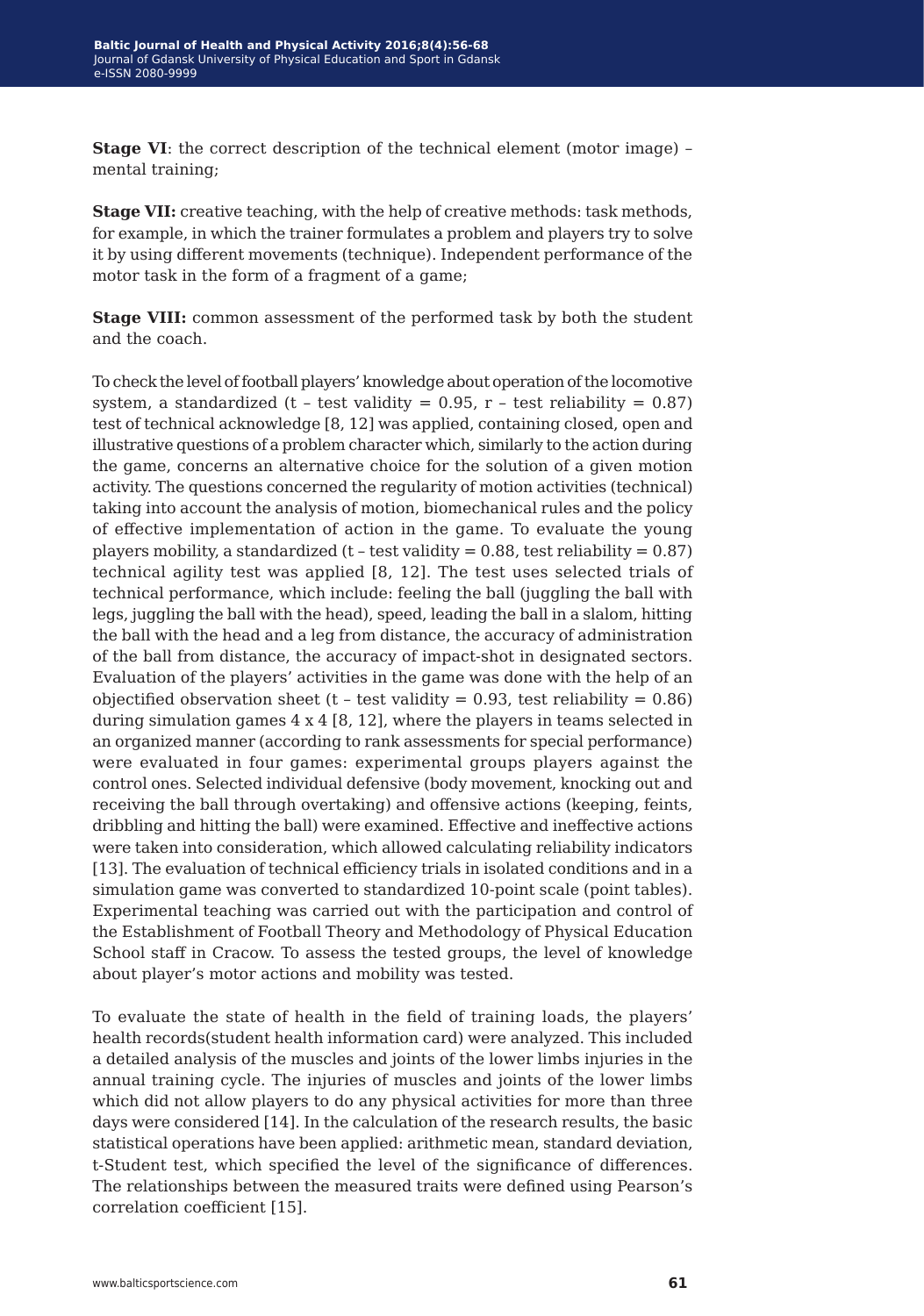**Stage VI:** the correct description of the technical element (motor image) – mental training;

**Stage VII:** creative teaching, with the help of creative methods: task methods, for example, in which the trainer formulates a problem and players try to solve it by using different movements (technique). Independent performance of the motor task in the form of a fragment of a game;

**Stage VIII:** common assessment of the performed task by both the student and the coach.

To check the level of football players' knowledge about operation of the locomotive system, a standardized (t - test validity =  $0.95$ , r - test reliability =  $0.87$ ) test of technical acknowledge [8, 12] was applied, containing closed, open and illustrative questions of a problem character which, similarly to the action during the game, concerns an alternative choice for the solution of a given motion activity. The questions concerned the regularity of motion activities (technical) taking into account the analysis of motion, biomechanical rules and the policy of effective implementation of action in the game. To evaluate the young players mobility, a standardized ( $t$  - test validity = 0.88, test reliability = 0.87) technical agility test was applied [8, 12]. The test uses selected trials of technical performance, which include: feeling the ball (juggling the ball with legs, juggling the ball with the head), speed, leading the ball in a slalom, hitting the ball with the head and a leg from distance, the accuracy of administration of the ball from distance, the accuracy of impact-shot in designated sectors. Evaluation of the players' activities in the game was done with the help of an objectified observation sheet (t - test validity =  $0.93$ , test reliability =  $0.86$ ) during simulation games  $4 \times 4$  [8, 12], where the players in teams selected in an organized manner (according to rank assessments for special performance) were evaluated in four games: experimental groups players against the control ones. Selected individual defensive (body movement, knocking out and receiving the ball through overtaking) and offensive actions (keeping, feints, dribbling and hitting the ball) were examined. Effective and ineffective actions were taken into consideration, which allowed calculating reliability indicators [13]. The evaluation of technical efficiency trials in isolated conditions and in a simulation game was converted to standardized 10-point scale (point tables). Experimental teaching was carried out with the participation and control of the Establishment of Football Theory and Methodology of Physical Education School staff in Cracow. To assess the tested groups, the level of knowledge about player's motor actions and mobility was tested.

To evaluate the state of health in the field of training loads, the players' health records(student health information card) were analyzed. This included a detailed analysis of the muscles and joints of the lower limbs injuries in the annual training cycle. The injuries of muscles and joints of the lower limbs which did not allow players to do any physical activities for more than three days were considered [14]. In the calculation of the research results, the basic statistical operations have been applied: arithmetic mean, standard deviation, t-Student test, which specified the level of the significance of differences. The relationships between the measured traits were defined using Pearson's correlation coefficient [15].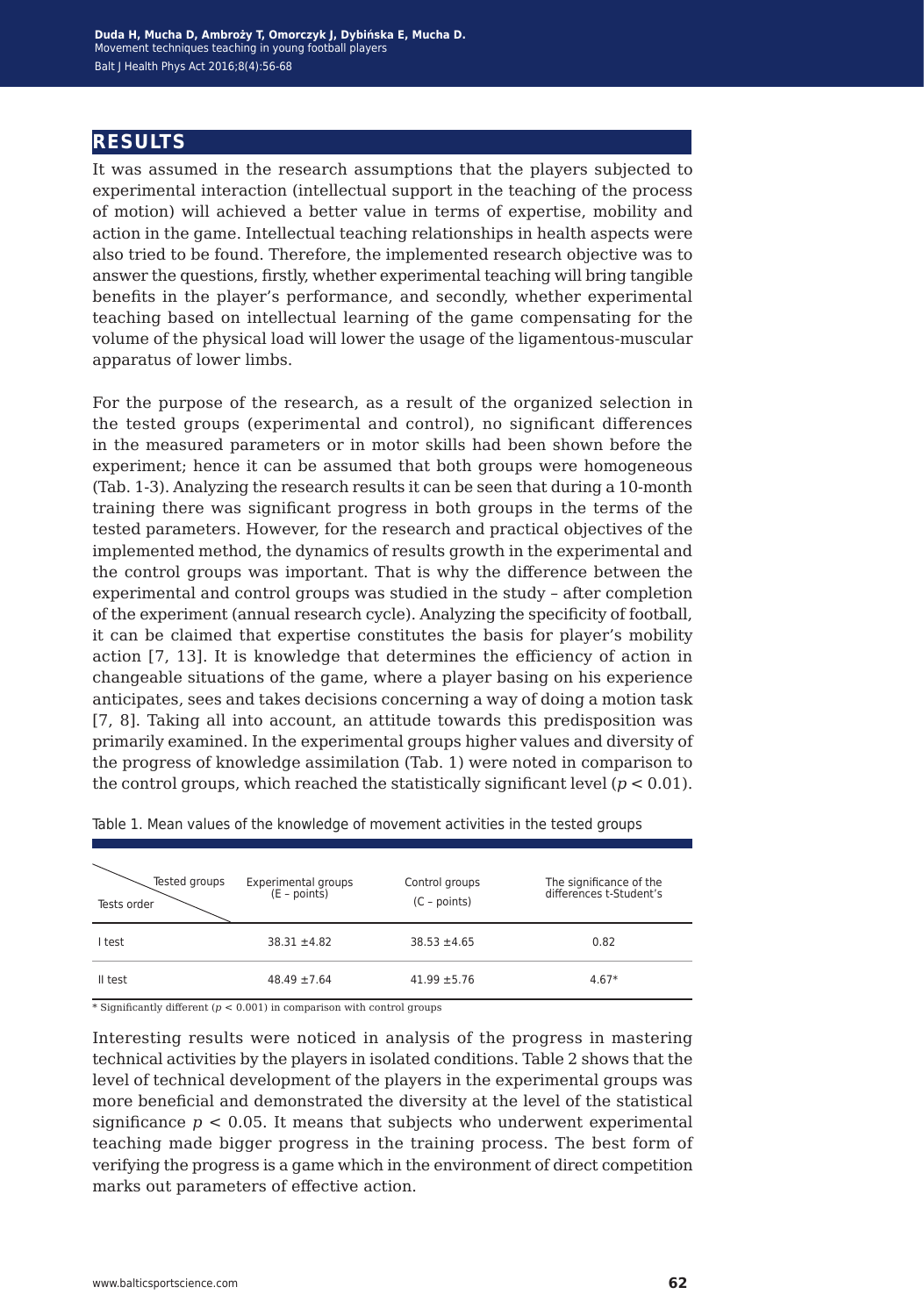## **results**

It was assumed in the research assumptions that the players subjected to experimental interaction (intellectual support in the teaching of the process of motion) will achieved a better value in terms of expertise, mobility and action in the game. Intellectual teaching relationships in health aspects were also tried to be found. Therefore, the implemented research objective was to answer the questions, firstly, whether experimental teaching will bring tangible benefits in the player's performance, and secondly, whether experimental teaching based on intellectual learning of the game compensating for the volume of the physical load will lower the usage of the ligamentous-muscular apparatus of lower limbs.

For the purpose of the research, as a result of the organized selection in the tested groups (experimental and control), no significant differences in the measured parameters or in motor skills had been shown before the experiment; hence it can be assumed that both groups were homogeneous (Tab. 1-3). Analyzing the research results it can be seen that during a 10-month training there was significant progress in both groups in the terms of the tested parameters. However, for the research and practical objectives of the implemented method, the dynamics of results growth in the experimental and the control groups was important. That is why the difference between the experimental and control groups was studied in the study – after completion of the experiment (annual research cycle). Analyzing the specificity of football, it can be claimed that expertise constitutes the basis for player's mobility action [7, 13]. It is knowledge that determines the efficiency of action in changeable situations of the game, where a player basing on his experience anticipates, sees and takes decisions concerning a way of doing a motion task [7, 8]. Taking all into account, an attitude towards this predisposition was primarily examined. In the experimental groups higher values and diversity of the progress of knowledge assimilation (Tab. 1) were noted in comparison to the control groups, which reached the statistically significant level  $(p < 0.01)$ .

| Tested groups<br>Tests order | Experimental groups<br>(E - points) | Control groups<br>$(C - points)$ | The significance of the<br>differences t-Student's |
|------------------------------|-------------------------------------|----------------------------------|----------------------------------------------------|
| I test                       | $38.31 + 4.82$                      | $38.53 \pm 4.65$                 | 0.82                                               |
| II test                      | $48.49 \pm 7.64$                    | $41.99 \pm 5.76$                 | $4.67*$                                            |

Table 1. Mean values of the knowledge of movement activities in the tested groups

\* Significantly different (*p* < 0.001) in comparison with control groups

Interesting results were noticed in analysis of the progress in mastering technical activities by the players in isolated conditions. Table 2 shows that the level of technical development of the players in the experimental groups was more beneficial and demonstrated the diversity at the level of the statistical significance  $p < 0.05$ . It means that subjects who underwent experimental teaching made bigger progress in the training process. The best form of verifying the progress is a game which in the environment of direct competition marks out parameters of effective action.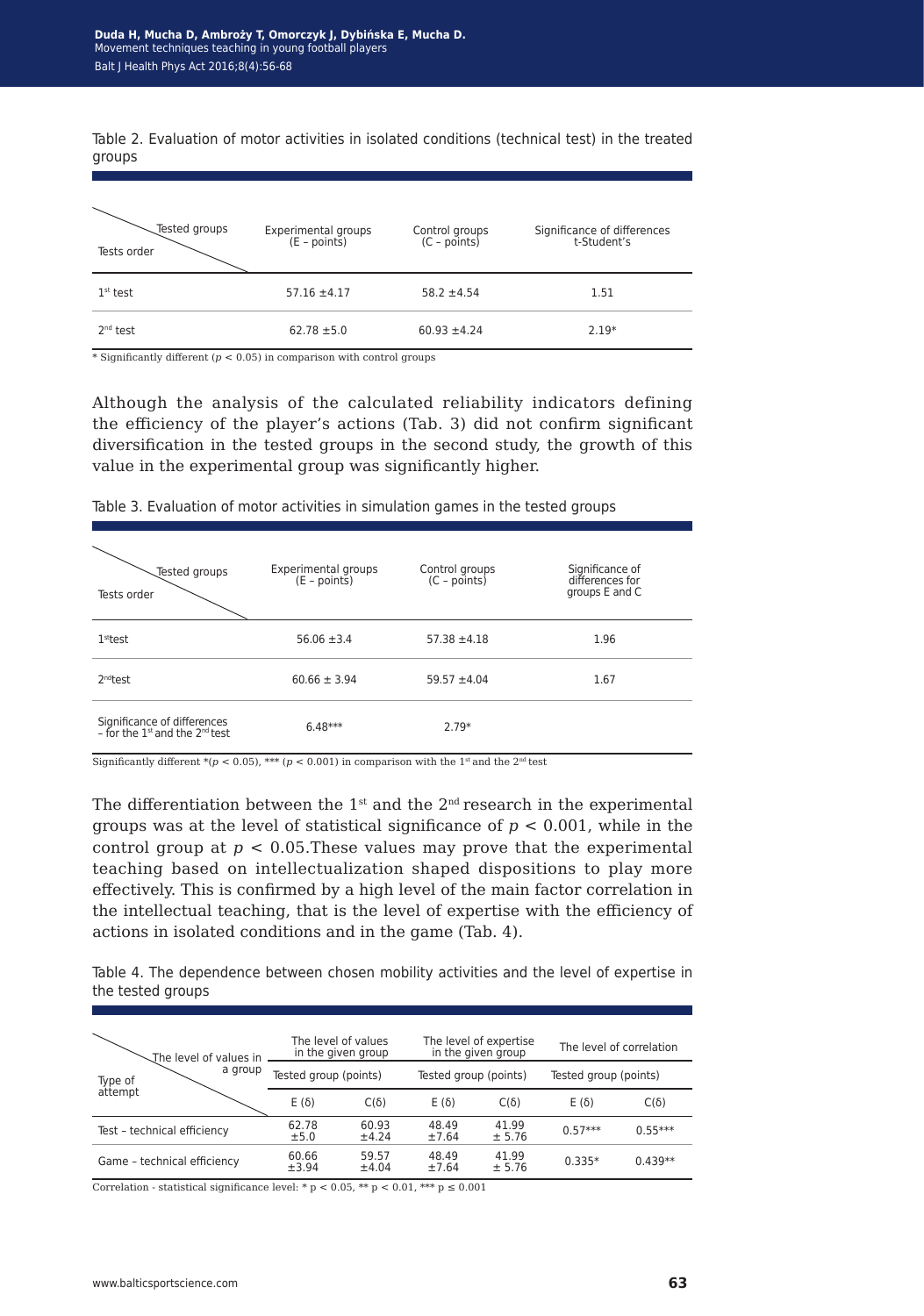Table 2. Evaluation of motor activities in isolated conditions (technical test) in the treated groups

| Tested groups<br>Tests order | Experimental groups<br>(E - points) | Control groups<br>(C - points) | Significance of differences<br>t-Student's |
|------------------------------|-------------------------------------|--------------------------------|--------------------------------------------|
| $1st$ test                   | $57.16 \pm 4.17$                    | $58.2 \pm 4.54$                | 1.51                                       |
| 2 <sup>nd</sup> test         | $62.78 \pm 5.0$                     | $60.93 \pm 4.24$               | $2.19*$                                    |

 $^\ast$  Significantly different ( $p < 0.05$ ) in comparison with control groups

Although the analysis of the calculated reliability indicators defining the efficiency of the player's actions (Tab. 3) did not confirm significant diversification in the tested groups in the second study, the growth of this value in the experimental group was significantly higher.

| Tested groups<br>Tests order                                              | Experimental groups<br>(E - points) | Control groups<br>$(C - \overrightarrow{points})$ | Significance of<br>differences for<br>groups E and C |
|---------------------------------------------------------------------------|-------------------------------------|---------------------------------------------------|------------------------------------------------------|
| 1 <sup>st</sup> test                                                      | $56.06 \pm 3.4$                     | $57.38 \pm 4.18$                                  | 1.96                                                 |
| 2 <sup>nd</sup> test                                                      | $60.66 \pm 3.94$                    | $59.57 \pm 4.04$                                  | 1.67                                                 |
| Significance of differences<br>- for the 1st and the 2 <sup>nd</sup> test | $6.48***$                           | $2.79*$                                           |                                                      |

Table 3. Evaluation of motor activities in simulation games in the tested groups

Significantly different \*( $p < 0.05$ ), \*\*\* ( $p < 0.001$ ) in comparison with the 1<sup>st</sup> and the 2<sup>nd</sup> test

The differentiation between the  $1<sup>st</sup>$  and the  $2<sup>nd</sup>$  research in the experimental groups was at the level of statistical significance of *p* < 0.001, while in the control group at  $p < 0.05$ . These values may prove that the experimental teaching based on intellectualization shaped dispositions to play more effectively. This is confirmed by a high level of the main factor correlation in the intellectual teaching, that is the level of expertise with the efficiency of actions in isolated conditions and in the game (Tab. 4).

Table 4. The dependence between chosen mobility activities and the level of expertise in the tested groups

| The level of values in      | The level of values<br>in the given group      |                | The level of expertise<br>in the given group |                 | The level of correlation |             |
|-----------------------------|------------------------------------------------|----------------|----------------------------------------------|-----------------|--------------------------|-------------|
| a group<br>Type of          | Tested group (points)<br>Tested group (points) |                | Tested group (points)                        |                 |                          |             |
| attempt                     | $E(\delta)$                                    | $C(\delta)$    | $E(\delta)$                                  | $C(\delta)$     | $E(\delta)$              | $C(\delta)$ |
| Test - technical efficiency | 62.78<br>±5.0                                  | 60.93<br>±4.24 | 48.49<br>±7.64                               | 41.99<br>± 5.76 | $0.57***$                | $0.55***$   |
| Game - technical efficiency | 60.66<br>±3.94                                 | 59.57<br>±4.04 | 48.49<br>±7.64                               | 41.99<br>± 5.76 | $0.335*$                 | $0.439**$   |

Correlation - statistical significance level: \* p < 0.05, \*\* p < 0.01, \*\*\* p  $\leq$  0.001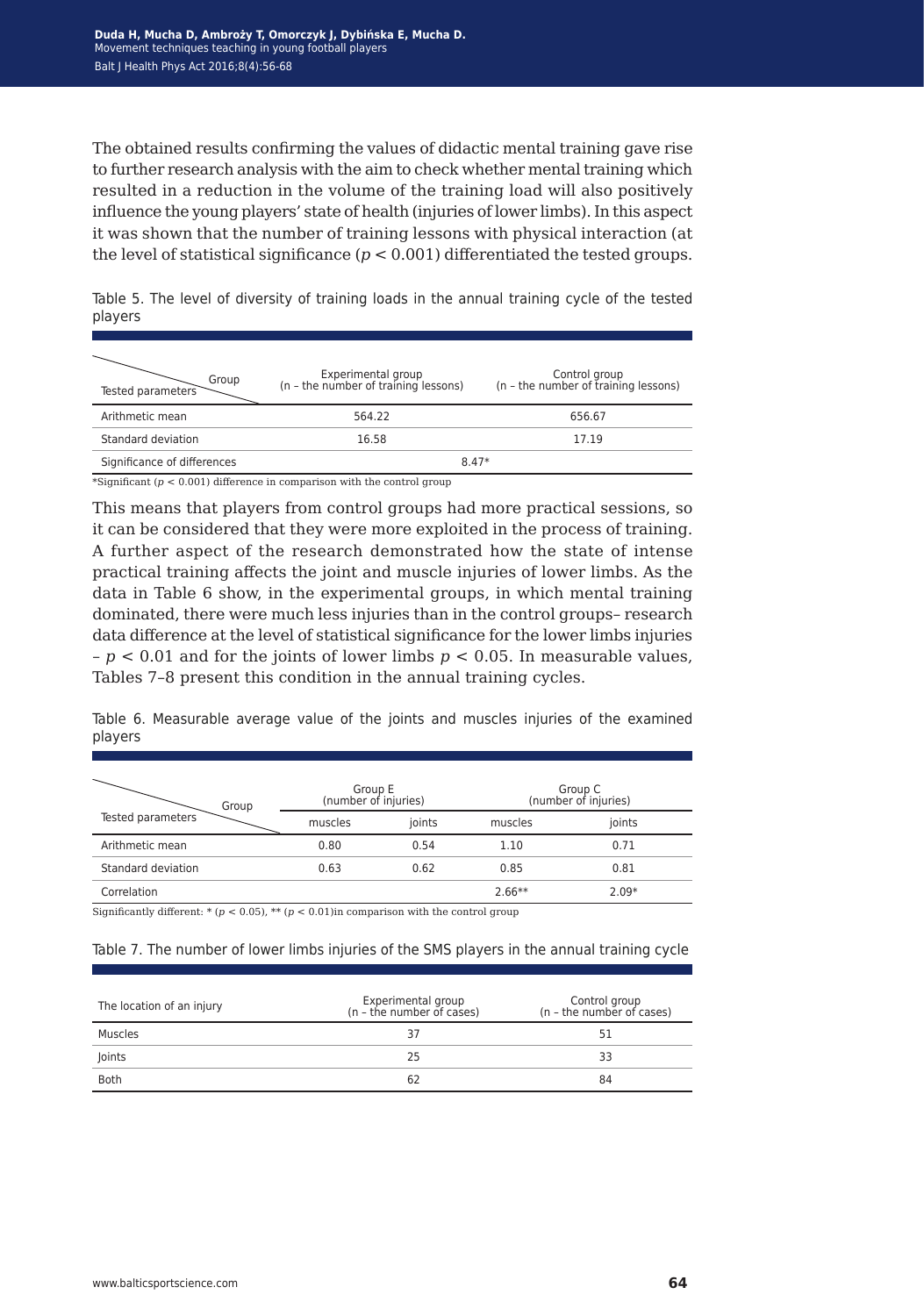The obtained results confirming the values of didactic mental training gave rise to further research analysis with the aim to check whether mental training which resulted in a reduction in the volume of the training load will also positively influence the young players' state of health (injuries of lower limbs). In this aspect it was shown that the number of training lessons with physical interaction (at the level of statistical significance  $(p < 0.001)$  differentiated the tested groups.

| Group<br>Tested parameters  | Experimental group<br>(n - the number of training lessons) | Control group<br>(n - the number of training lessons) |
|-----------------------------|------------------------------------------------------------|-------------------------------------------------------|
| Arithmetic mean             | 564.22                                                     | 656.67                                                |
| Standard deviation          | 16.58                                                      | 17.19                                                 |
| Significance of differences | $8.47*$                                                    |                                                       |

Table 5. The level of diversity of training loads in the annual training cycle of the tested players

\*Significant  $(p < 0.001)$  difference in comparison with the control group

This means that players from control groups had more practical sessions, so it can be considered that they were more exploited in the process of training. A further aspect of the research demonstrated how the state of intense practical training affects the joint and muscle injuries of lower limbs. As the data in Table 6 show, in the experimental groups, in which mental training dominated, there were much less injuries than in the control groups– research data difference at the level of statistical significance for the lower limbs injuries – *p* < 0.01 and for the joints of lower limbs *p* < 0.05. In measurable values, Tables 7–8 present this condition in the annual training cycles.

Table 6. Measurable average value of the joints and muscles injuries of the examined players

| Group              | Group E<br>(number of injuries) |        | Group C<br>(number of injuries) |         |  |
|--------------------|---------------------------------|--------|---------------------------------|---------|--|
| Tested parameters  | muscles                         | joints | muscles                         | joints  |  |
| Arithmetic mean    | 0.80                            | 0.54   | 1.10                            | 0.71    |  |
| Standard deviation | 0.63                            | 0.62   | 0.85                            | 0.81    |  |
| Correlation        |                                 |        | $2.66**$                        | $2.09*$ |  |

Significantly different: \* (*p* < 0.05), \*\* (*p* < 0.01)in comparison with the control group

#### Table 7. The number of lower limbs injuries of the SMS players in the annual training cycle

| The location of an injury | Experimental group<br>(n - the number of cases) | Control group<br>(n - the number of cases) |
|---------------------------|-------------------------------------------------|--------------------------------------------|
| Muscles                   | 37                                              | 51                                         |
| Joints                    | 25                                              | 33                                         |
| Both                      | 62                                              | 84                                         |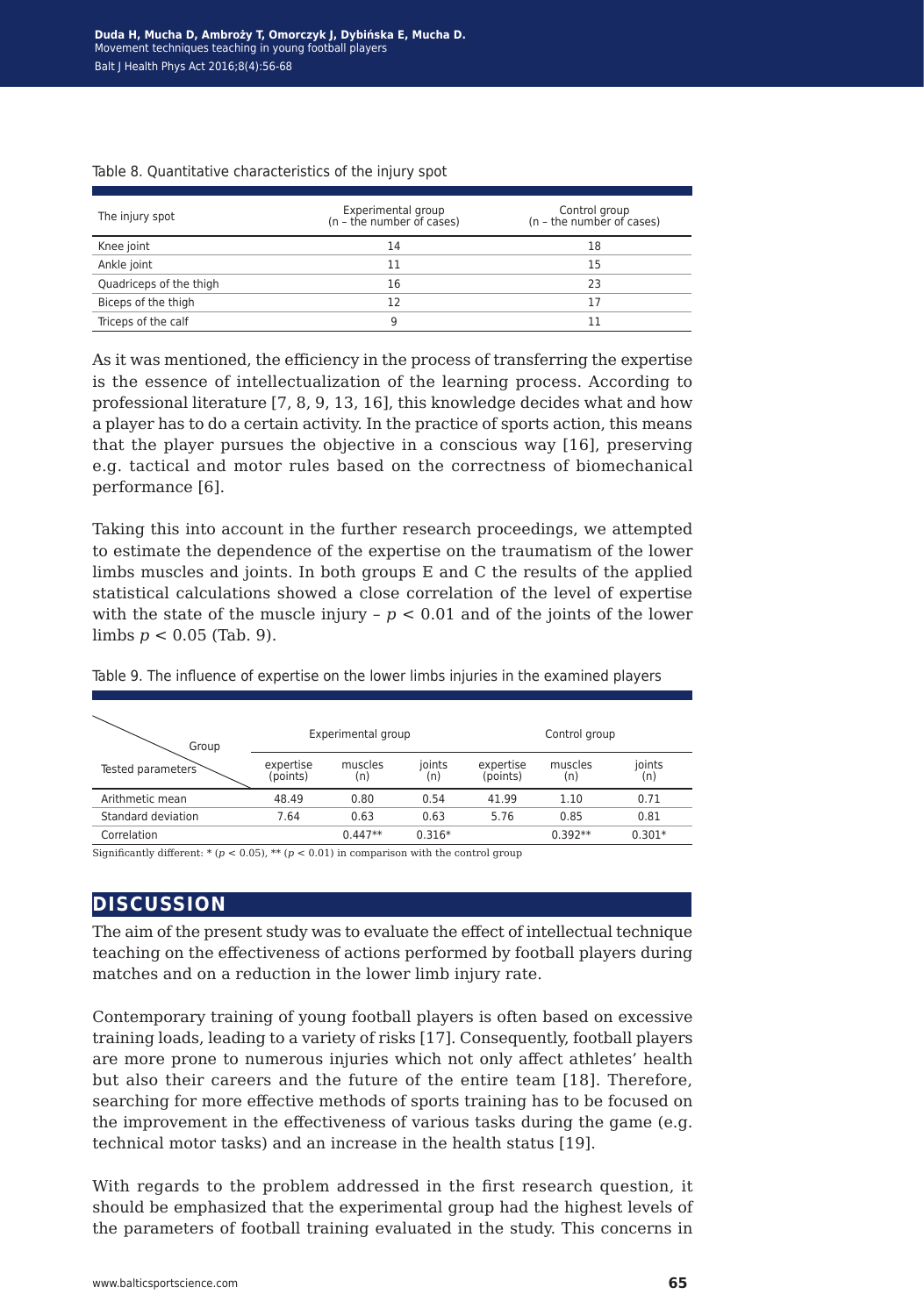| The injury spot         | Experimental group<br>(n - the number of cases) | Control group<br>(n - the number of cases) |
|-------------------------|-------------------------------------------------|--------------------------------------------|
| Knee joint              | 14                                              | 18                                         |
| Ankle joint             | 11                                              | 15                                         |
| Quadriceps of the thigh | 16                                              | 23                                         |
| Biceps of the thigh     | 12                                              | 17                                         |
| Triceps of the calf     | g                                               |                                            |

#### Table 8. Quantitative characteristics of the injury spot

As it was mentioned, the efficiency in the process of transferring the expertise is the essence of intellectualization of the learning process. According to professional literature [7, 8, 9, 13, 16], this knowledge decides what and how a player has to do a certain activity. In the practice of sports action, this means that the player pursues the objective in a conscious way [16], preserving e.g. tactical and motor rules based on the correctness of biomechanical performance [6].

Taking this into account in the further research proceedings, we attempted to estimate the dependence of the expertise on the traumatism of the lower limbs muscles and joints. In both groups E and C the results of the applied statistical calculations showed a close correlation of the level of expertise with the state of the muscle injury  $-p < 0.01$  and of the joints of the lower limbs *p* < 0.05 (Tab. 9).

| Group              |                       | Experimental group |               |                       | Control group  |               |
|--------------------|-----------------------|--------------------|---------------|-----------------------|----------------|---------------|
| Tested parameters  | expertise<br>(points) | muscles<br>(n)     | joints<br>(n) | expertise<br>(points) | muscles<br>(n) | joints<br>(n) |
| Arithmetic mean    | 48.49                 | 0.80               | 0.54          | 41.99                 | 1.10           | 0.71          |
| Standard deviation | 7.64                  | 0.63               | 0.63          | 5.76                  | 0.85           | 0.81          |
| Correlation        |                       | $0.447**$          | $0.316*$      |                       | $0.392**$      | $0.301*$      |

Table 9. The influence of expertise on the lower limbs injuries in the examined players

Significantly different:  $*(p < 0.05)$ ,  $** (p < 0.01)$  in comparison with the control group

#### **discussion**

The aim of the present study was to evaluate the effect of intellectual technique teaching on the effectiveness of actions performed by football players during matches and on a reduction in the lower limb injury rate.

Contemporary training of young football players is often based on excessive training loads, leading to a variety of risks [17]. Consequently, football players are more prone to numerous injuries which not only affect athletes' health but also their careers and the future of the entire team [18]. Therefore, searching for more effective methods of sports training has to be focused on the improvement in the effectiveness of various tasks during the game (e.g. technical motor tasks) and an increase in the health status [19].

With regards to the problem addressed in the first research question, it should be emphasized that the experimental group had the highest levels of the parameters of football training evaluated in the study. This concerns in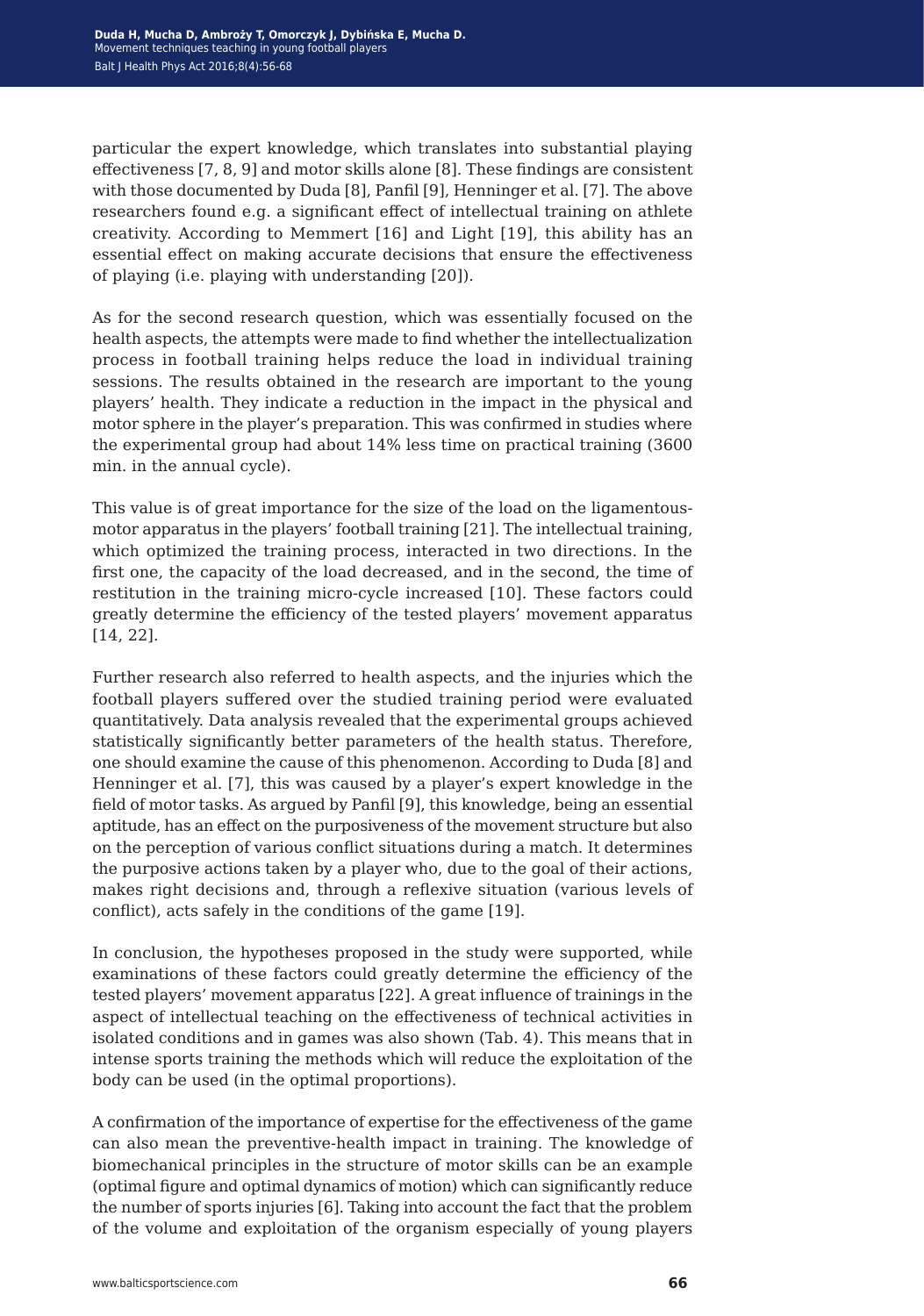particular the expert knowledge, which translates into substantial playing effectiveness [7, 8, 9] and motor skills alone [8]. These findings are consistent with those documented by Duda [8], Panfil [9], Henninger et al. [7]. The above researchers found e.g. a significant effect of intellectual training on athlete creativity. According to Memmert [16] and Light [19], this ability has an essential effect on making accurate decisions that ensure the effectiveness of playing (i.e. playing with understanding [20]).

As for the second research question, which was essentially focused on the health aspects, the attempts were made to find whether the intellectualization process in football training helps reduce the load in individual training sessions. The results obtained in the research are important to the young players' health. They indicate a reduction in the impact in the physical and motor sphere in the player's preparation. This was confirmed in studies where the experimental group had about 14% less time on practical training (3600 min. in the annual cycle).

This value is of great importance for the size of the load on the ligamentousmotor apparatus in the players' football training [21]. The intellectual training, which optimized the training process, interacted in two directions. In the first one, the capacity of the load decreased, and in the second, the time of restitution in the training micro-cycle increased [10]. These factors could greatly determine the efficiency of the tested players' movement apparatus [14, 22].

Further research also referred to health aspects, and the injuries which the football players suffered over the studied training period were evaluated quantitatively. Data analysis revealed that the experimental groups achieved statistically significantly better parameters of the health status. Therefore, one should examine the cause of this phenomenon. According to Duda [8] and Henninger et al. [7], this was caused by a player's expert knowledge in the field of motor tasks. As argued by Panfil [9], this knowledge, being an essential aptitude, has an effect on the purposiveness of the movement structure but also on the perception of various conflict situations during a match. It determines the purposive actions taken by a player who, due to the goal of their actions, makes right decisions and, through a reflexive situation (various levels of conflict), acts safely in the conditions of the game [19].

In conclusion, the hypotheses proposed in the study were supported, while examinations of these factors could greatly determine the efficiency of the tested players' movement apparatus [22]. A great influence of trainings in the aspect of intellectual teaching on the effectiveness of technical activities in isolated conditions and in games was also shown (Tab. 4). This means that in intense sports training the methods which will reduce the exploitation of the body can be used (in the optimal proportions).

A confirmation of the importance of expertise for the effectiveness of the game can also mean the preventive-health impact in training. The knowledge of biomechanical principles in the structure of motor skills can be an example (optimal figure and optimal dynamics of motion) which can significantly reduce the number of sports injuries [6]. Taking into account the fact that the problem of the volume and exploitation of the organism especially of young players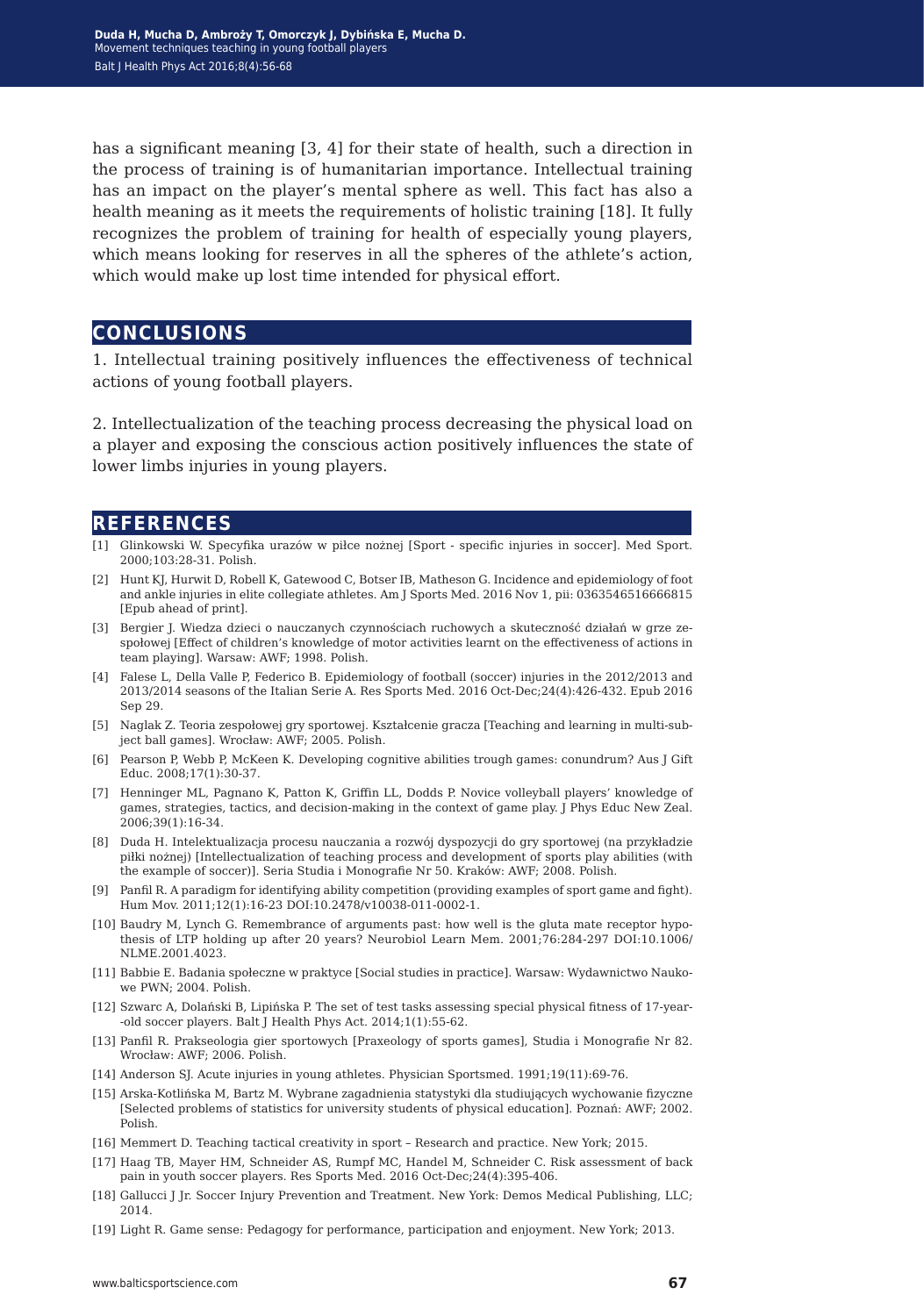has a significant meaning [3, 4] for their state of health, such a direction in the process of training is of humanitarian importance. Intellectual training has an impact on the player's mental sphere as well. This fact has also a health meaning as it meets the requirements of holistic training [18]. It fully recognizes the problem of training for health of especially young players, which means looking for reserves in all the spheres of the athlete's action, which would make up lost time intended for physical effort.

**conclusions**

1. Intellectual training positively influences the effectiveness of technical actions of young football players.

2. Intellectualization of the teaching process decreasing the physical load on a player and exposing the conscious action positively influences the state of lower limbs injuries in young players.

#### **references**

- [1] Glinkowski W. Specyfika urazów w piłce nożnej [Sport specific injuries in soccer]. Med Sport. 2000;103:28-31. Polish.
- [2] Hunt KJ, Hurwit D, Robell K, Gatewood C, Botser IB, Matheson G. Incidence and epidemiology of foot and ankle injuries in elite collegiate athletes. Am J Sports Med. 2016 Nov 1, pii: 0363546516666815 [Epub ahead of print].
- [3] Bergier J. Wiedza dzieci o nauczanych czynnościach ruchowych a skuteczność działań w grze zespołowej [Effect of children's knowledge of motor activities learnt on the effectiveness of actions in team playing]. Warsaw: AWF; 1998. Polish.
- [4] Falese L, Della Valle P, Federico B. Epidemiology of football (soccer) injuries in the 2012/2013 and 2013/2014 seasons of the Italian Serie A. Res Sports Med. 2016 Oct-Dec;24(4):426-432. Epub 2016 Sep 29.
- [5] Naglak Z. Teoria zespołowej gry sportowej. Kształcenie gracza [Teaching and learning in multi-subject ball games]. Wrocław: AWF; 2005. Polish.
- [6] Pearson P, Webb P, McKeen K. Developing cognitive abilities trough games: conundrum? Aus J Gift Educ. 2008;17(1):30-37.
- [7] Henninger ML, Pagnano K, Patton K, Griffin LL, Dodds P. Novice volleyball players' knowledge of games, strategies, tactics, and decision-making in the context of game play. J Phys Educ New Zeal. 2006;39(1):16-34.
- [8] Duda H. Intelektualizacja procesu nauczania a rozwój dyspozycji do gry sportowej (na przykładzie piłki nożnej) [Intellectualization of teaching process and development of sports play abilities (with the example of soccer)]. Seria Studia i Monografie Nr 50. Kraków: AWF; 2008. Polish.
- [9] Panfil R. A paradigm for identifying ability competition (providing examples of sport game and fight). Hum Mov. 2011;12(1):16-23 DOI:10.2478/v10038-011-0002-1.
- [10] Baudry M, Lynch G. Remembrance of arguments past: how well is the gluta mate receptor hypothesis of LTP holding up after 20 years? Neurobiol Learn Mem. 2001;76:284-297 DOI:10.1006/ NLME.2001.4023.
- [11] Babbie E. Badania społeczne w praktyce [Social studies in practice]. Warsaw: Wydawnictwo Naukowe PWN; 2004. Polish.
- [12] Szwarc A, Dolański B, Lipińska P. The set of test tasks assessing special physical fitness of 17-year- -old soccer players. Balt J Health Phys Act. 2014;1(1):55-62.
- [13] Panfil R. Prakseologia gier sportowych [Praxeology of sports games], Studia i Monografie Nr 82. Wrocław: AWF; 2006. Polish.
- [14] Anderson SJ. Acute injuries in young athletes. Physician Sportsmed. 1991;19(11):69-76.
- [15] Arska-Kotlińska M, Bartz M. Wybrane zagadnienia statystyki dla studiujących wychowanie fizyczne [Selected problems of statistics for university students of physical education]. Poznań: AWF; 2002. Polish.
- [16] Memmert D. Teaching tactical creativity in sport Research and practice. New York; 2015.
- [17] Haag TB, Mayer HM, Schneider AS, Rumpf MC, Handel M, Schneider C. Risk assessment of back pain in youth soccer players. Res Sports Med. 2016 Oct-Dec;24(4):395-406.
- [18] Gallucci J Jr. Soccer Injury Prevention and Treatment. New York: Demos Medical Publishing, LLC; 2014.
- [19] Light R. Game sense: Pedagogy for performance, participation and enjoyment. New York; 2013.